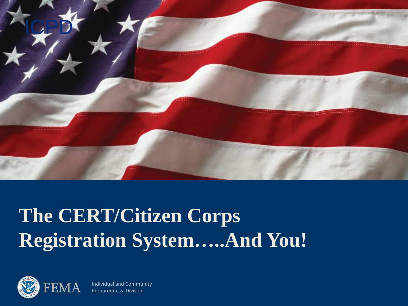

# **The CERT/Citizen Corps Registration System…..And You!**



Individual and Community Preparedness Division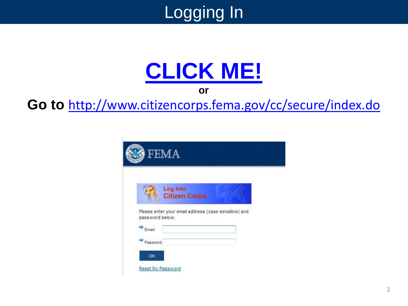

# **[CLICK ME!](http://www.citizencorps.fema.gov/cc/secure/index.do)**

**or**

**Go to** <http://www.citizencorps.fema.gov/cc/secure/index.do>

|                      | Log Into<br><b>Citizen Corps</b>                     |  |
|----------------------|------------------------------------------------------|--|
|                      | Please enter your email address (case sensitive) and |  |
| password below.      |                                                      |  |
|                      |                                                      |  |
| $\Rightarrow$ Email: |                                                      |  |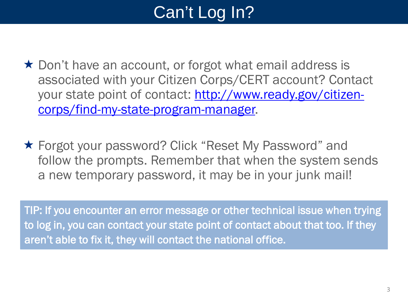# Can't Log In?

- $\star$  Don't have an account, or forgot what email address is associated with your Citizen Corps/CERT account? Contact [your state point of contact: http://www.ready.gov/citizen](http://www.ready.gov/citizen-corps/find-my-state-program-manager)corps/find-my-state-program-manager.
- ★ Forgot your password? Click "Reset My Password" and follow the prompts. Remember that when the system sends a new temporary password, it may be in your junk mail!

TIP: If you encounter an error message or other technical issue when trying to log in, you can contact your state point of contact about that too. If they aren't able to fix it, they will contact the national office.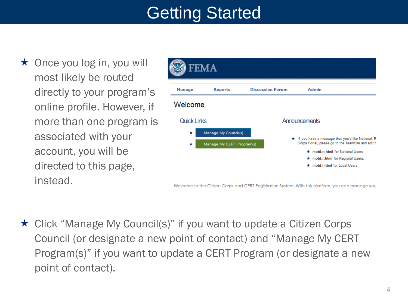# Getting Started

 $\star$  Once you log in, you will most likely be routed directly to your program's online profile. However, if more than one program is associated with your account, you will be directed to this page, instead.

|               | <b>FEMA</b>                                       |                         |                                                                                                                                                                                                                  |
|---------------|---------------------------------------------------|-------------------------|------------------------------------------------------------------------------------------------------------------------------------------------------------------------------------------------------------------|
| <b>Manage</b> | <b>Reports</b>                                    | <b>Discussion Forum</b> | Admin                                                                                                                                                                                                            |
| Welcome       |                                                   |                         |                                                                                                                                                                                                                  |
| Quick Links   |                                                   |                         | Announcements                                                                                                                                                                                                    |
| ÷<br>÷        | Manage My Council(s)<br>Manage My CERT Program(s) |                         | * If you have a message that you'd like National, R<br>Corps Portal, please go to the TeamSite and edit t<br>motd.n.html for National Users<br>* motd.r.html for Regional Users,<br>motd.I.html for Local Users. |

Welcome to the Citizen Corps and CERT Registration System! With this platform, you can manage you

★ Click "Manage My Council(s)" if you want to update a Citizen Corps Council (or designate a new point of contact) and "Manage My CERT Program(s)" if you want to update a CERT Program (or designate a new point of contact).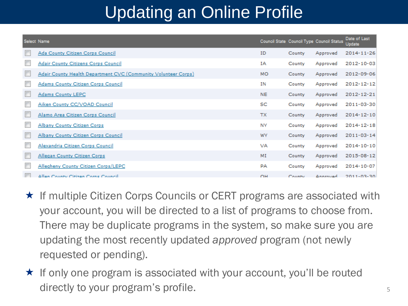# Updating an Online Profile

| Select Name |                                                                |           |        | Council State Council Type Council Status | Date of Last<br>Update |
|-------------|----------------------------------------------------------------|-----------|--------|-------------------------------------------|------------------------|
|             | Ada County Citizen Corps Council                               | ID        | County | Approved                                  | 2014-11-26             |
|             | Adair County Citizens Corps Council                            | IΑ        | County | Approved                                  | 2012-10-03             |
|             | Adair County Health Department CVC (Community Volunteer Corps) | <b>MO</b> | County | Approved                                  | 2012-09-06             |
|             | Adams County Citizen Corps Council                             | ΙN        | County | Approved                                  | 2012-12-12             |
|             | <b>Adams County LEPC</b>                                       | <b>NE</b> | County | Approved                                  | 2012-12-21             |
|             | Aiken County CC/VOAD Council                                   | SC        | County | Approved                                  | 2011-03-30             |
|             | Alamo Area Citizen Corps Council                               | <b>TX</b> | County | Approved                                  | 2014-12-10             |
|             | <b>Albany County Citizen Corps</b>                             | <b>NY</b> | County | Approved                                  | 2014-12-18             |
|             | Albany County Citizen Corps Council                            | WY        | County | Approved                                  | 2011-03-14             |
|             | Alexandria Citizen Corps Council                               | <b>VA</b> | County | Approved                                  | 2014-10-10             |
|             | Allegan County Citizen Corps                                   | MI        | County | Approved                                  | 2015-08-12             |
|             | Allegheny County Citizen Corps/LEPC                            | PA        | County | Approved                                  | 2014-10-07             |
|             | Allen County Citizen Corne Council                             | $\cap H$  | County | Annrouad                                  | 2011-03-30             |

- $\star$  If multiple Citizen Corps Councils or CERT programs are associated with your account, you will be directed to a list of programs to choose from. There may be duplicate programs in the system, so make sure you are updating the most recently updated *approved* program (not newly requested or pending).
- $\star$  If only one program is associated with your account, you'll be routed directly to your program's profile.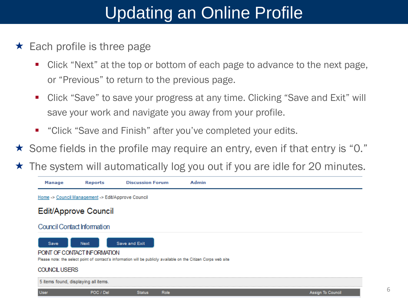# Updating an Online Profile

- $\star$  Each profile is three page
	- Click "Next" at the top or bottom of each page to advance to the next page, or "Previous" to return to the previous page.
	- Click "Save" to save your progress at any time. Clicking "Save and Exit" will save your work and navigate you away from your profile.
	- "Click "Save and Finish" after you've completed your edits.
- $\star$  Some fields in the profile may require an entry, even if that entry is "0."
- The system will automatically log you out if you are idle for 20 minutes.

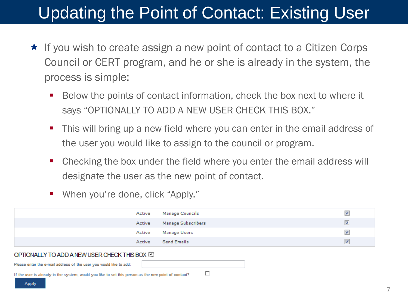## Updating the Point of Contact: Existing User

- $\star$  If you wish to create assign a new point of contact to a Citizen Corps Council or CERT program, and he or she is already in the system, the process is simple:
	- Below the points of contact information, check the box next to where it says "OPTIONALLY TO ADD A NEW USER CHECK THIS BOX."
	- This will bring up a new field where you can enter in the email address of the user you would like to assign to the council or program.
	- Checking the box under the field where you enter the email address will designate the user as the new point of contact.
	- When you're done, click "Apply."

|                                                                                                      | Active | <b>Manage Councils</b> | √                    |
|------------------------------------------------------------------------------------------------------|--------|------------------------|----------------------|
|                                                                                                      | Active | Manage Subscribers     | v                    |
|                                                                                                      | Active | Manage Users           | $\blacktriangledown$ |
|                                                                                                      | Active | <b>Send Emails</b>     | ᢦ                    |
| OPTIONALLY TO ADD A NEW USER CHECK THIS BOX                                                          |        |                        |                      |
| Please enter the e-mail address of the user you would like to add:                                   |        |                        |                      |
| If the user is already in the system, would you like to set this nerson as the new noint of contact? |        |                        |                      |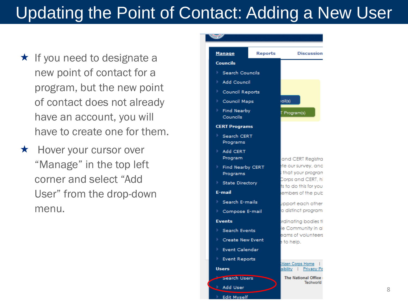# Updating the Point of Contact: Adding a New User

- $\star$  If you need to designate a new point of contact for a program, but the new point of contact does not already have an account, you will have to create one for them.
- $\star$  Hover your cursor over "Manage" in the top left corner and select "Add User" from the drop-down menu.



8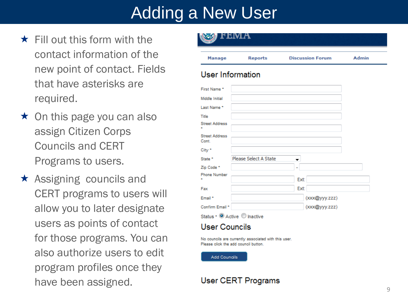- $\star$  Fill out this form with the contact information of the new point of contact. Fields that have asterisks are required.
- $\star$  On this page you can also assign Citizen Corps Councils and CERT Programs to users.
- $\star$  Assigning councils and CERT programs to users will allow you to later designate users as points of contact for those programs. You can also authorize users to edit program profiles once they have been assigned.



#### User Information

| First Name *                   |                              |  |
|--------------------------------|------------------------------|--|
| Middle Initial                 |                              |  |
| Last Name *                    |                              |  |
| Title                          |                              |  |
| <b>Street Address</b>          |                              |  |
| <b>Street Address</b><br>Cont. |                              |  |
| City *                         |                              |  |
| State *                        | Please Select A State        |  |
| Zip Code *                     |                              |  |
| <b>Phone Number</b>            | Ext:                         |  |
| Fax                            | Ext:                         |  |
| Email *                        | (xxx@yyy.zzz)                |  |
| Confirm Email *                | (xxx@yyy.zzz)                |  |
|                                | Status • O Active O Inactive |  |

#### **User Councils**

No councils are currently associated with this user. Please click the add council button

**Add Councils** 

#### User CERT Programs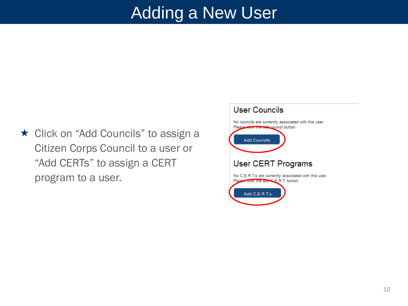★ Click on "Add Councils" to assign a Citizen Corps Council to a user or "Add CERTs" to assign a CERT program to a user.

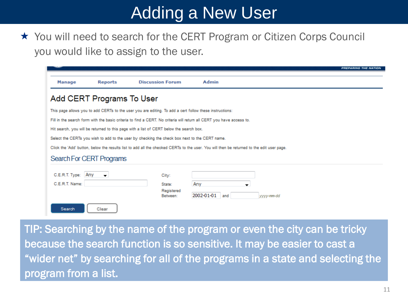★ You will need to search for the CERT Program or Citizen Corps Council you would like to assign to the user.

|                                                                                                                      |                                                                                                         |                                                                                               |                                                                                                                                           | <b>PREPARING THE NATION</b> |  |  |  |  |
|----------------------------------------------------------------------------------------------------------------------|---------------------------------------------------------------------------------------------------------|-----------------------------------------------------------------------------------------------|-------------------------------------------------------------------------------------------------------------------------------------------|-----------------------------|--|--|--|--|
| <b>Manage</b>                                                                                                        | <b>Reports</b>                                                                                          | <b>Discussion Forum</b>                                                                       | <b>Admin</b>                                                                                                                              |                             |  |  |  |  |
| Add CERT Programs To User                                                                                            |                                                                                                         |                                                                                               |                                                                                                                                           |                             |  |  |  |  |
|                                                                                                                      | This page allows you to add CERTs to the user you are editing. To add a cert follow these instructions: |                                                                                               |                                                                                                                                           |                             |  |  |  |  |
| Fill in the search form with the basic criteria to find a CERT. No criteria will return all CERT you have access to. |                                                                                                         |                                                                                               |                                                                                                                                           |                             |  |  |  |  |
| Hit search, you will be returned to this page with a list of CERT below the search box.                              |                                                                                                         |                                                                                               |                                                                                                                                           |                             |  |  |  |  |
|                                                                                                                      |                                                                                                         | Select the CERTs you wish to add to the user by checking the check box next to the CERT name. |                                                                                                                                           |                             |  |  |  |  |
|                                                                                                                      |                                                                                                         |                                                                                               | Click the 'Add' button, below the results list to add all the checked CERTs to the user. You will then be returned to the edit user page. |                             |  |  |  |  |
|                                                                                                                      | Search For CERT Programs                                                                                |                                                                                               |                                                                                                                                           |                             |  |  |  |  |
| C.E.R.T. Type: Any                                                                                                   | $\cdot$                                                                                                 | City:                                                                                         |                                                                                                                                           |                             |  |  |  |  |
| C.E.R.T. Name:                                                                                                       |                                                                                                         | State:                                                                                        | Any                                                                                                                                       |                             |  |  |  |  |
|                                                                                                                      |                                                                                                         | Registered<br>Between:                                                                        | 2002-01-01<br>and                                                                                                                         | vvvv-mm-dd                  |  |  |  |  |
| Search                                                                                                               | Clear                                                                                                   |                                                                                               |                                                                                                                                           |                             |  |  |  |  |

TIP: Searching by the name of the program or even the city can be tricky because the search function is so sensitive. It may be easier to cast a "wider net" by searching for all of the programs in a state and selecting the program from a list.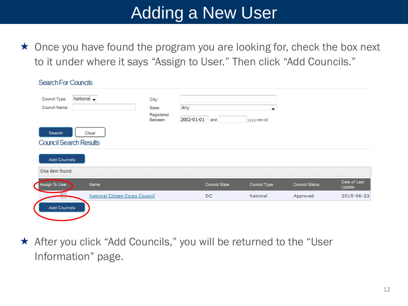$\star$  Once you have found the program you are looking for, check the box next to it under where it says "Assign to User." Then click "Add Councils."

| <b>Search For Councils</b>    |                                |                        |                |                      |              |                       |                        |
|-------------------------------|--------------------------------|------------------------|----------------|----------------------|--------------|-----------------------|------------------------|
| Council Type:                 | National $\rightarrow$         | City:                  |                |                      |              |                       |                        |
| Council Name:                 |                                | State:                 | Any            |                      | ▼            |                       |                        |
|                               |                                | Registered<br>Between: | 2002-01-01 and |                      | yyyy-mm-dd   |                       |                        |
| Search                        | Clear                          |                        |                |                      |              |                       |                        |
| <b>Council Search Results</b> |                                |                        |                |                      |              |                       |                        |
| <b>Add Councils</b>           |                                |                        |                |                      |              |                       |                        |
| One item found.               |                                |                        |                |                      |              |                       |                        |
| Assign To User                | Name                           |                        |                | <b>Council State</b> | Council Type | <b>Council Status</b> | Date of Last<br>Update |
| m                             | National Citizen Corps Council |                        |                | DC                   | National     | Approved              | 2015-06-23             |
| Add Councils                  |                                |                        |                |                      |              |                       |                        |
|                               |                                |                        |                |                      |              |                       |                        |

★ After you click "Add Councils," you will be returned to the "User Information" page.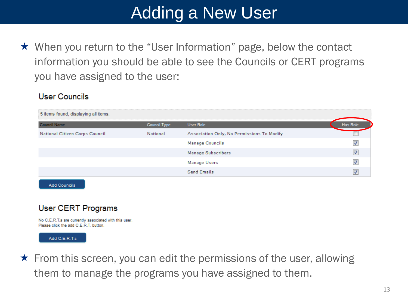★ When you return to the "User Information" page, below the contact information you should be able to see the Councils or CERT programs you have assigned to the user:

### **User Councils**

| 5 items found, displaying all items. |              |                                            | <b></b>  |
|--------------------------------------|--------------|--------------------------------------------|----------|
| Council Name                         | Council Type | User Role                                  | Has Role |
| National Citizen Corps Council       | National     | Association Only, No Permissions To Modify |          |
|                                      |              | <b>Manage Councils</b>                     |          |
|                                      |              | Manage Subscribers                         |          |
|                                      |              | Manage Users                               |          |
|                                      |              | Send Emails                                |          |
|                                      |              |                                            |          |

**Add Councils** 

### User CERT Programs

No C.E.R.T.s are currently associated with this user. Please click the add C.E.R.T. button.



 $\star$  From this screen, you can edit the permissions of the user, allowing them to manage the programs you have assigned to them.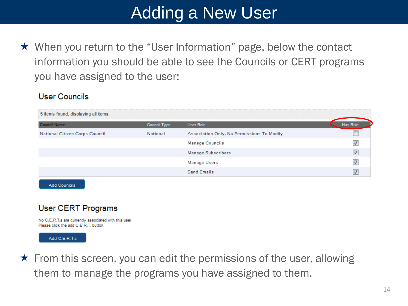★ When you return to the "User Information" page, below the contact information you should be able to see the Councils or CERT programs you have assigned to the user:

### **User Councils**

| 5 items found, displaying all items. |              |                                            |  |
|--------------------------------------|--------------|--------------------------------------------|--|
| <b>Council Name</b>                  | Council Type | User Role                                  |  |
| National Citizen Corps Council       | National     | Association Only, No Permissions To Modify |  |
|                                      |              | <b>Manage Councils</b>                     |  |
|                                      |              | Manage Subscribers                         |  |
|                                      |              | Manage Users                               |  |
|                                      |              | <b>Send Emails</b>                         |  |
|                                      |              |                                            |  |

**Add Councils** 

### User CERT Programs

No C.E.R.T.s are currently associated with this user. Please click the add C.E.R.T. button.



 $\star$  From this screen, you can edit the permissions of the user, allowing them to manage the programs you have assigned to them.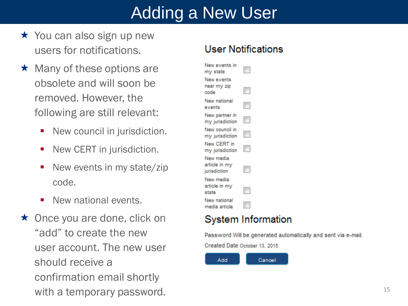- $\star$  You can also sign up new users for notifications.
- $\star$  Many of these options are obsolete and will soon be removed. However, the following are still relevant:
	- New council in jurisdiction.
	- New CERT in jurisdiction.
	- New events in my state/zip code.
	- **New national events.**
- $\star$  Once you are done, click on "add" to create the new user account. The new user should receive a confirmation email shortly with a temporary password.

### **User Notifications**

| New events in<br>my state                  |                          |
|--------------------------------------------|--------------------------|
| New events<br>near my zip<br>code          | $\overline{\phantom{a}}$ |
| New national<br>events                     | $\blacksquare$           |
| New partner in<br>my jurisdiction          |                          |
| New council in<br>my jurisdiction          |                          |
| New CERT in<br>my jurisdiction             | $\Box$                   |
| New media<br>article in my<br>jurisdiction |                          |
| New media<br>article in my<br>state        |                          |
| New national<br>media article              |                          |

### System Information

Password Will be generated automatically and sent via e-mail.

Created Date October 13, 2015

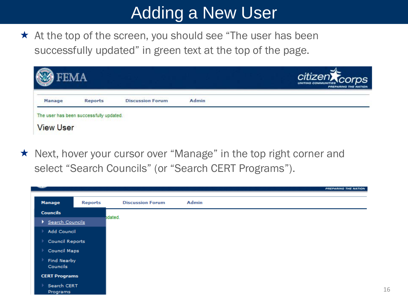$\star$  At the top of the screen, you should see "The user has been successfully updated" in green text at the top of the page.

| Manage | <b>Reports</b> | <b>Discussion Forum</b> | Admin |  |
|--------|----------------|-------------------------|-------|--|

★ Next, hover your cursor over "Manage" in the top right corner and select "Search Councils" (or "Search CERT Programs").

|    |                                |                |                         |              | PREPARING THE NATION |
|----|--------------------------------|----------------|-------------------------|--------------|----------------------|
|    |                                |                |                         |              |                      |
|    | <b>Manage</b>                  | <b>Reports</b> | <b>Discussion Forum</b> | <b>Admin</b> |                      |
|    | <b>Councils</b>                |                | bdated.                 |              |                      |
| ۰. | Search Councils                |                |                         |              |                      |
|    | Add Council                    |                |                         |              |                      |
|    | Council Reports                |                |                         |              |                      |
|    | Council Maps                   |                |                         |              |                      |
|    | <b>Find Nearby</b><br>Councils |                |                         |              |                      |
|    | <b>CERT Programs</b>           |                |                         |              |                      |
|    | Search CERT<br>Programs        |                |                         |              |                      |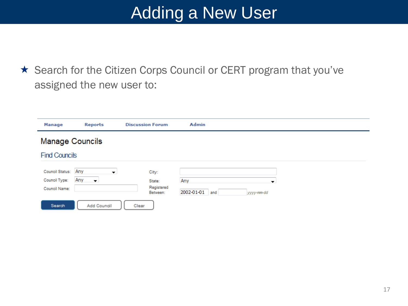★ Search for the Citizen Corps Council or CERT program that you've assigned the new user to:

| <b>Manage</b>                    | <b>Reports</b>                              | <b>Discussion Forum</b> | Admin                           |  |  |  |  |  |
|----------------------------------|---------------------------------------------|-------------------------|---------------------------------|--|--|--|--|--|
| <b>Manage Councils</b>           |                                             |                         |                                 |  |  |  |  |  |
| <b>Find Councils</b>             |                                             |                         |                                 |  |  |  |  |  |
| Council Status:<br>Council Type: | Any<br>$\bullet$<br>Any<br>— <del>v</del> J | City:<br>State:         | Any<br>$\overline{\phantom{a}}$ |  |  |  |  |  |
| Council Name:                    |                                             | Registered<br>Between:  | 2002-01-01<br>and<br>yyyy-mm-dd |  |  |  |  |  |
| Search                           | Add Council                                 | Clear                   |                                 |  |  |  |  |  |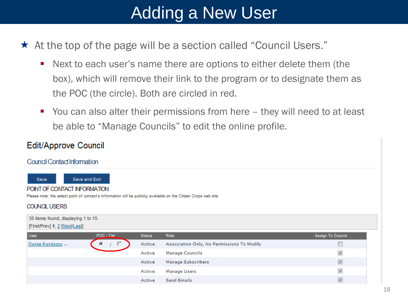- $\star$  At the top of the page will be a section called "Council Users."
	- Next to each user's name there are options to either delete them (the box), which will remove their link to the program or to designate them as the POC (the circle). Both are circled in red.
	- You can also alter their permissions from here they will need to at least be able to "Manage Councils" to edit the online profile.

### Edit/Approve Council

#### Council Contact Information